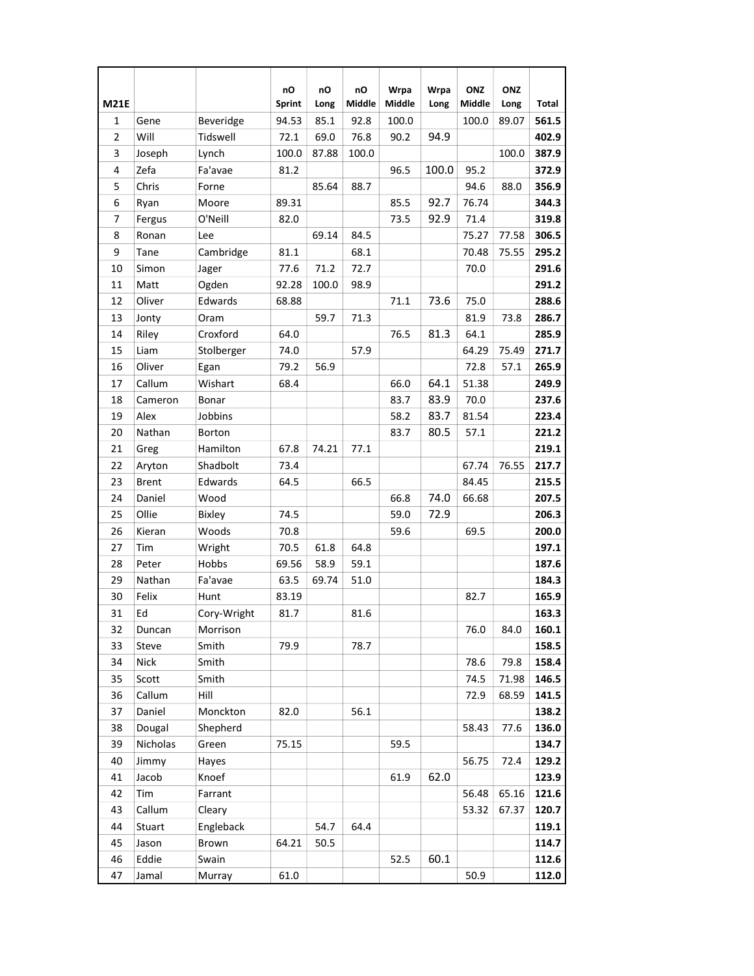| <b>M21E</b>    |              |               | nO<br><b>Sprint</b> | nO<br>Long | nO<br>Middle | Wrpa<br>Middle | Wrpa<br>Long | ONZ<br>Middle | ONZ<br>Long | Total |
|----------------|--------------|---------------|---------------------|------------|--------------|----------------|--------------|---------------|-------------|-------|
| $\mathbf{1}$   | Gene         | Beveridge     | 94.53               | 85.1       | 92.8         | 100.0          |              | 100.0         | 89.07       | 561.5 |
| $\overline{2}$ | Will         | Tidswell      | 72.1                | 69.0       | 76.8         | 90.2           | 94.9         |               |             | 402.9 |
| 3              | Joseph       | Lynch         | 100.0               | 87.88      | 100.0        |                |              |               | 100.0       | 387.9 |
| 4              | Zefa         | Fa'avae       | 81.2                |            |              | 96.5           | 100.0        | 95.2          |             | 372.9 |
| 5              | Chris        | Forne         |                     | 85.64      | 88.7         |                |              | 94.6          | 88.0        | 356.9 |
| 6              | Ryan         | Moore         | 89.31               |            |              | 85.5           | 92.7         | 76.74         |             | 344.3 |
| $\overline{7}$ | Fergus       | O'Neill       | 82.0                |            |              | 73.5           | 92.9         | 71.4          |             | 319.8 |
| 8              | Ronan        | Lee           |                     | 69.14      | 84.5         |                |              | 75.27         | 77.58       | 306.5 |
| 9              | Tane         | Cambridge     | 81.1                |            | 68.1         |                |              | 70.48         | 75.55       | 295.2 |
| 10             | Simon        | Jager         | 77.6                | 71.2       | 72.7         |                |              | 70.0          |             | 291.6 |
| 11             | Matt         | Ogden         | 92.28               | 100.0      | 98.9         |                |              |               |             | 291.2 |
| 12             | Oliver       | Edwards       | 68.88               |            |              | 71.1           | 73.6         | 75.0          |             | 288.6 |
| 13             | Jonty        | Oram          |                     | 59.7       | 71.3         |                |              | 81.9          | 73.8        | 286.7 |
| 14             | Riley        | Croxford      | 64.0                |            |              | 76.5           | 81.3         | 64.1          |             | 285.9 |
| 15             | Liam         | Stolberger    | 74.0                |            | 57.9         |                |              | 64.29         | 75.49       | 271.7 |
| 16             | Oliver       | Egan          | 79.2                | 56.9       |              |                |              | 72.8          | 57.1        | 265.9 |
| 17             | Callum       | Wishart       | 68.4                |            |              | 66.0           | 64.1         | 51.38         |             | 249.9 |
| 18             | Cameron      | Bonar         |                     |            |              | 83.7           | 83.9         | 70.0          |             | 237.6 |
| 19             | Alex         | Jobbins       |                     |            |              | 58.2           | 83.7         | 81.54         |             | 223.4 |
| 20             | Nathan       | <b>Borton</b> |                     |            |              | 83.7           | 80.5         | 57.1          |             | 221.2 |
| 21             | Greg         | Hamilton      | 67.8                | 74.21      | 77.1         |                |              |               |             | 219.1 |
| 22             | Aryton       | Shadbolt      | 73.4                |            |              |                |              | 67.74         | 76.55       | 217.7 |
| 23             | <b>Brent</b> | Edwards       | 64.5                |            | 66.5         |                |              | 84.45         |             | 215.5 |
| 24             | Daniel       | Wood          |                     |            |              | 66.8           | 74.0         | 66.68         |             | 207.5 |
| 25             | Ollie        | <b>Bixley</b> | 74.5                |            |              | 59.0           | 72.9         |               |             | 206.3 |
| 26             | Kieran       | Woods         | 70.8                |            |              | 59.6           |              | 69.5          |             | 200.0 |
| 27             | Tim          | Wright        | 70.5                | 61.8       | 64.8         |                |              |               |             | 197.1 |
| 28             | Peter        | Hobbs         | 69.56               | 58.9       | 59.1         |                |              |               |             | 187.6 |
| 29             | Nathan       | Fa'avae       | 63.5                | 69.74      | 51.0         |                |              |               |             | 184.3 |
| 30             | Felix        | Hunt          | 83.19               |            |              |                |              | 82.7          |             | 165.9 |
| 31             | Ed           | Cory-Wright   | 81.7                |            | 81.6         |                |              |               |             | 163.3 |
| 32             | Duncan       | Morrison      |                     |            |              |                |              | 76.0          | 84.0        | 160.1 |
| 33             | Steve        | Smith         | 79.9                |            | 78.7         |                |              |               |             | 158.5 |
| 34             | Nick         | Smith         |                     |            |              |                |              | 78.6          | 79.8        | 158.4 |
| 35             | Scott        | Smith         |                     |            |              |                |              | 74.5          | 71.98       | 146.5 |
| 36             | Callum       | Hill          |                     |            |              |                |              | 72.9          | 68.59       | 141.5 |
| 37             | Daniel       | Monckton      | 82.0                |            | 56.1         |                |              |               |             | 138.2 |
| 38             | Dougal       | Shepherd      |                     |            |              |                |              | 58.43         | 77.6        | 136.0 |
| 39             | Nicholas     | Green         | 75.15               |            |              | 59.5           |              |               |             | 134.7 |
| 40             | Jimmy        | Hayes         |                     |            |              |                |              | 56.75         | 72.4        | 129.2 |
| 41             | Jacob        | Knoef         |                     |            |              | 61.9           | 62.0         |               |             | 123.9 |
| 42             | Tim          | Farrant       |                     |            |              |                |              | 56.48         | 65.16       | 121.6 |
| 43             | Callum       | Cleary        |                     |            |              |                |              | 53.32         | 67.37       | 120.7 |
| 44             | Stuart       | Engleback     |                     | 54.7       | 64.4         |                |              |               |             | 119.1 |
| 45             | Jason        | Brown         | 64.21               | 50.5       |              |                |              |               |             | 114.7 |
| 46             | Eddie        | Swain         |                     |            |              | 52.5           | 60.1         |               |             | 112.6 |
| 47             | Jamal        | Murray        | 61.0                |            |              |                |              | 50.9          |             | 112.0 |